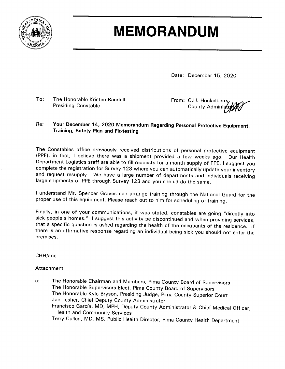

# **MEMORANDUM**

Date: December 15, 2020

#### To: The Honorable Kristen Randall **Presiding Constable**

From: C.H. Huckelberry County Adminis

#### Your December 14, 2020 Memorandum Regarding Personal Protective Equipment, Re: Training, Safety Plan and Fit-testing

The Constables office previously received distributions of personal protective equipment (PPE), in fact, I believe there was a shipment provided a few weeks ago. Our Health Department Logistics staff are able to fill requests for a month supply of PPE. I suggest you complete the registration for Survey 123 where you can automatically update your inventory and request resupply. We have a large number of departments and individuals receiving large shipments of PPE through Survey 123 and you should do the same.

I understand Mr. Spencer Graves can arrange training through the National Guard for the proper use of this equipment. Please reach out to him for scheduling of training.

Finally, in one of your communications, it was stated, constables are going "directly into sick people's homes." I suggest this activity be discontinued and when providing services, that a specific question is asked regarding the health of the occupants of the residence. If there is an affirmative response regarding an individual being sick you should not enter the premises.

## CHH/anc

## Attachment

The Honorable Chairman and Members, Pima County Board of Supervisors  $\mathbf{C}$ : The Honorable Supervisors Elect, Pima County Board of Supervisors The Honorable Kyle Bryson, Presiding Judge, Pima County Superior Court Jan Lesher, Chief Deputy County Administrator Francisco García, MD, MPH, Deputy County Administrator & Chief Medical Officer, **Health and Community Services** Terry Cullen, MD, MS, Public Health Director, Pima County Health Department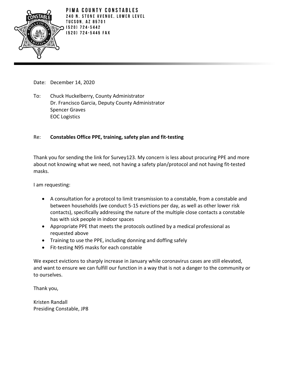

PIMA COUNTY CONSTABLES 240 N. STONE AVENUE, LOWER LEVEL **TUCSON, AZ 85701**  $(520)$  724-5442 [520] 724-5445 FAX

Date: December 14, 2020

To: Chuck Huckelberry, County Administrator Dr. Francisco Garcia, Deputy County Administrator Spencer Graves EOC Logistics

### Re: **Constables Office PPE, training, safety plan and fit-testing**

Thank you for sending the link for Survey123. My concern is less about procuring PPE and more about not knowing what we need, not having a safety plan/protocol and not having fit-tested masks.

I am requesting:

- A consultation for a protocol to limit transmission to a constable, from a constable and between households (we conduct 5-15 evictions per day, as well as other lower risk contacts), specifically addressing the nature of the multiple close contacts a constable has with sick people in indoor spaces
- Appropriate PPE that meets the protocols outlined by a medical professional as requested above
- Training to use the PPE, including donning and doffing safely
- Fit-testing N95 masks for each constable

We expect evictions to sharply increase in January while coronavirus cases are still elevated, and want to ensure we can fulfill our function in a way that is not a danger to the community or to ourselves.

Thank you,

Kristen Randall Presiding Constable, JP8